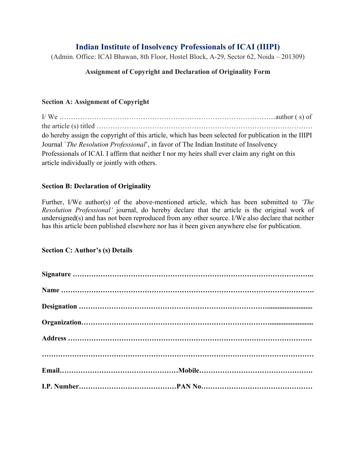# **Indian Institute of Insolvency Professionals of ICAI (IIIPI)**

(Admin. Office: ICAI Bhawan, 8th Floor, Hostel Block, A-29, Sector 62, Noida – 201309)

## **Assignment of Copyright and Declaration of Originality Form**

### **Section A: Assignment of Copyright**

I/ We …………………………………………………………………………………author ( s) of the article (s) titled ………………………………………………………………………………… do hereby assign the copyright of this article, which has been selected for publication in the IIIPI Journal `*The Resolution Professional*', in favor of The Indian Institute of Insolvency Professionals of ICAI. I affirm that neither I nor my heirs shall ever claim any right on this article individually or jointly with others.

#### **Section B: Declaration of Originality**

Further, I/We author(s) of the above-mentioned article, which has been submitted to *'The Resolution Professional'* journal, do hereby declare that the article is the original work of undersigned(s) and has not been reproduced from any other source. I/We also declare that neither has this article been published elsewhere nor has it been given anywhere else for publication.

#### **Section C: Author's (s) Details**